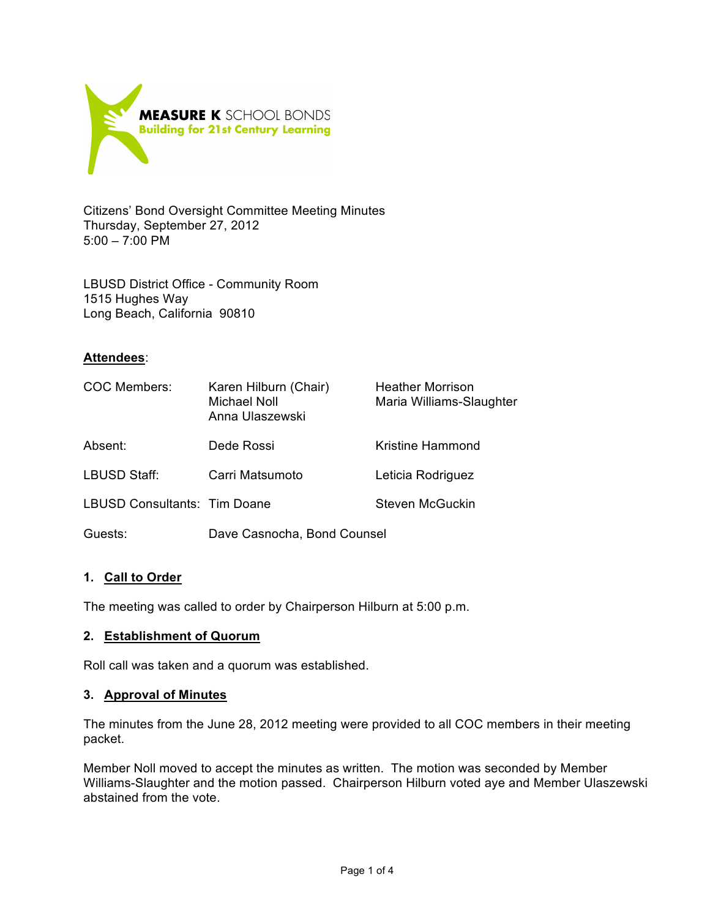

Citizens' Bond Oversight Committee Meeting Minutes Thursday, September 27, 2012 5:00 – 7:00 PM

LBUSD District Office - Community Room 1515 Hughes Way Long Beach, California 90810

## **Attendees**:

| COC Members:                 | Karen Hilburn (Chair)<br>Michael Noll<br>Anna Ulaszewski | <b>Heather Morrison</b><br>Maria Williams-Slaughter |
|------------------------------|----------------------------------------------------------|-----------------------------------------------------|
| Absent:                      | Dede Rossi                                               | <b>Kristine Hammond</b>                             |
| LBUSD Staff:                 | Carri Matsumoto                                          | Leticia Rodriguez                                   |
| LBUSD Consultants: Tim Doane |                                                          | Steven McGuckin                                     |
| Guests:                      | Dave Casnocha, Bond Counsel                              |                                                     |

# **1. Call to Order**

The meeting was called to order by Chairperson Hilburn at 5:00 p.m.

### **2. Establishment of Quorum**

Roll call was taken and a quorum was established.

### **3. Approval of Minutes**

The minutes from the June 28, 2012 meeting were provided to all COC members in their meeting packet.

Member Noll moved to accept the minutes as written. The motion was seconded by Member Williams-Slaughter and the motion passed. Chairperson Hilburn voted aye and Member Ulaszewski abstained from the vote.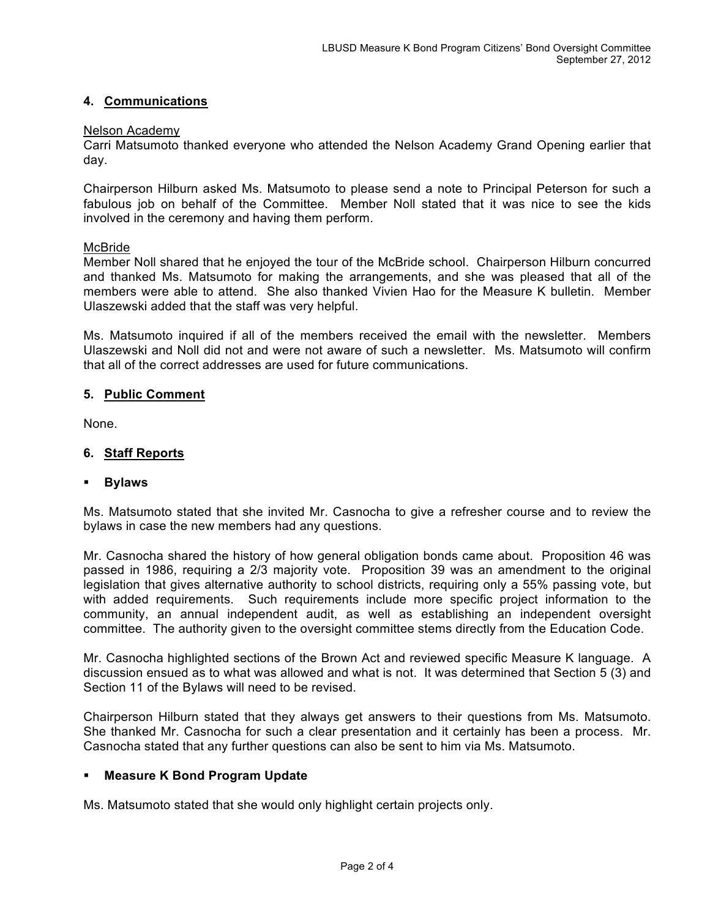# **4. Communications**

#### Nelson Academy

Carri Matsumoto thanked everyone who attended the Nelson Academy Grand Opening earlier that day.

Chairperson Hilburn asked Ms. Matsumoto to please send a note to Principal Peterson for such a fabulous job on behalf of the Committee. Member Noll stated that it was nice to see the kids involved in the ceremony and having them perform.

#### **McBride**

Member Noll shared that he enjoyed the tour of the McBride school. Chairperson Hilburn concurred and thanked Ms. Matsumoto for making the arrangements, and she was pleased that all of the members were able to attend. She also thanked Vivien Hao for the Measure K bulletin. Member Ulaszewski added that the staff was very helpful.

Ms. Matsumoto inquired if all of the members received the email with the newsletter. Members Ulaszewski and Noll did not and were not aware of such a newsletter. Ms. Matsumoto will confirm that all of the correct addresses are used for future communications.

#### **5. Public Comment**

None.

## **6. Staff Reports**

### **Bylaws**

Ms. Matsumoto stated that she invited Mr. Casnocha to give a refresher course and to review the bylaws in case the new members had any questions.

Mr. Casnocha shared the history of how general obligation bonds came about. Proposition 46 was passed in 1986, requiring a 2/3 majority vote. Proposition 39 was an amendment to the original legislation that gives alternative authority to school districts, requiring only a 55% passing vote, but with added requirements. Such requirements include more specific project information to the community, an annual independent audit, as well as establishing an independent oversight committee. The authority given to the oversight committee stems directly from the Education Code.

Mr. Casnocha highlighted sections of the Brown Act and reviewed specific Measure K language. A discussion ensued as to what was allowed and what is not. It was determined that Section 5 (3) and Section 11 of the Bylaws will need to be revised.

Chairperson Hilburn stated that they always get answers to their questions from Ms. Matsumoto. She thanked Mr. Casnocha for such a clear presentation and it certainly has been a process. Mr. Casnocha stated that any further questions can also be sent to him via Ms. Matsumoto.

### **Measure K Bond Program Update**

Ms. Matsumoto stated that she would only highlight certain projects only.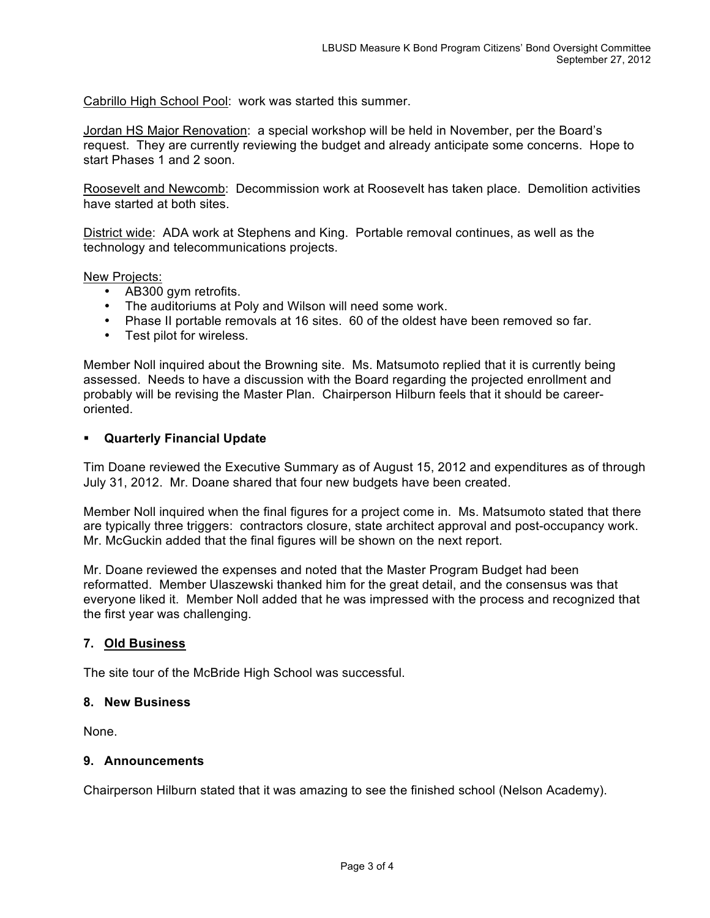Cabrillo High School Pool: work was started this summer.

Jordan HS Major Renovation: a special workshop will be held in November, per the Board's request. They are currently reviewing the budget and already anticipate some concerns. Hope to start Phases 1 and 2 soon.

Roosevelt and Newcomb: Decommission work at Roosevelt has taken place. Demolition activities have started at both sites.

District wide: ADA work at Stephens and King. Portable removal continues, as well as the technology and telecommunications projects.

New Projects:

- AB300 gym retrofits.
- The auditoriums at Poly and Wilson will need some work.
- Phase II portable removals at 16 sites. 60 of the oldest have been removed so far.
- Test pilot for wireless.

Member Noll inquired about the Browning site. Ms. Matsumoto replied that it is currently being assessed. Needs to have a discussion with the Board regarding the projected enrollment and probably will be revising the Master Plan. Chairperson Hilburn feels that it should be careeroriented.

### **Quarterly Financial Update**

Tim Doane reviewed the Executive Summary as of August 15, 2012 and expenditures as of through July 31, 2012. Mr. Doane shared that four new budgets have been created.

Member Noll inquired when the final figures for a project come in. Ms. Matsumoto stated that there are typically three triggers: contractors closure, state architect approval and post-occupancy work. Mr. McGuckin added that the final figures will be shown on the next report.

Mr. Doane reviewed the expenses and noted that the Master Program Budget had been reformatted. Member Ulaszewski thanked him for the great detail, and the consensus was that everyone liked it. Member Noll added that he was impressed with the process and recognized that the first year was challenging.

# **7. Old Business**

The site tour of the McBride High School was successful.

#### **8. New Business**

None.

### **9. Announcements**

Chairperson Hilburn stated that it was amazing to see the finished school (Nelson Academy).